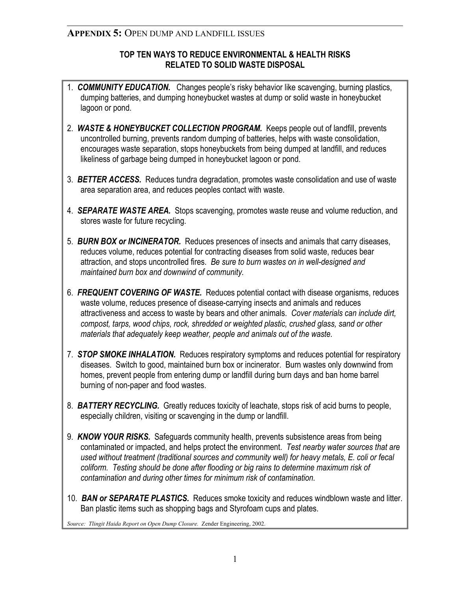## **APPENDIX 5:** OPEN DUMP AND LANDFILL ISSUES

### **TOP TEN WAYS TO REDUCE ENVIRONMENTAL & HEALTH RISKS RELATED TO SOLID WASTE DISPOSAL**

- 1. *COMMUNITY EDUCATION.*Changes people's risky behavior like scavenging, burning plastics, dumping batteries, and dumping honeybucket wastes at dump or solid waste in honeybucket lagoon or pond.
- 2. *WASTE & HONEYBUCKET COLLECTION PROGRAM.*Keeps people out of landfill, prevents uncontrolled burning, prevents random dumping of batteries, helps with waste consolidation, encourages waste separation, stops honeybuckets from being dumped at landfill, and reduces likeliness of garbage being dumped in honeybucket lagoon or pond.
- 3. *BETTER ACCESS.* Reduces tundra degradation, promotes waste consolidation and use of waste area separation area, and reduces peoples contact with waste.
- 4. *SEPARATE WASTE AREA.* Stops scavenging, promotes waste reuse and volume reduction, and stores waste for future recycling.
- 5. *BURN BOX or INCINERATOR.* Reduces presences of insects and animals that carry diseases, reduces volume, reduces potential for contracting diseases from solid waste, reduces bear attraction, and stops uncontrolled fires. *Be sure to burn wastes on in well-designed and maintained burn box and downwind of community.*
- 6. *FREQUENT COVERING OF WASTE.* Reduces potential contact with disease organisms, reduces waste volume, reduces presence of disease-carrying insects and animals and reduces attractiveness and access to waste by bears and other animals. *Cover materials can include dirt, compost, tarps, wood chips, rock, shredded or weighted plastic, crushed glass, sand or other materials that adequately keep weather, people and animals out of the waste.*
- 7. *STOP SMOKE INHALATION.* Reduces respiratory symptoms and reduces potential for respiratory diseases. Switch to good, maintained burn box or incinerator. Burn wastes only downwind from homes, prevent people from entering dump or landfill during burn days and ban home barrel burning of non-paper and food wastes.
- 8. *BATTERY RECYCLING.* Greatly reduces toxicity of leachate, stops risk of acid burns to people, especially children, visiting or scavenging in the dump or landfill.
- 9. *KNOW YOUR RISKS.* Safeguards community health, prevents subsistence areas from being contaminated or impacted, and helps protect the environment. *Test nearby water sources that are used without treatment (traditional sources and community well) for heavy metals, E. coli or fecal coliform. Testing should be done after flooding or big rains to determine maximum risk of contamination and during other times for minimum risk of contamination.*
- 10. *BAN or SEPARATE PLASTICS.* Reduces smoke toxicity and reduces windblown waste and litter. Ban plastic items such as shopping bags and Styrofoam cups and plates.

*Source: Tlingit Haida Report on Open Dump Closure.* Zender Engineering, 2002.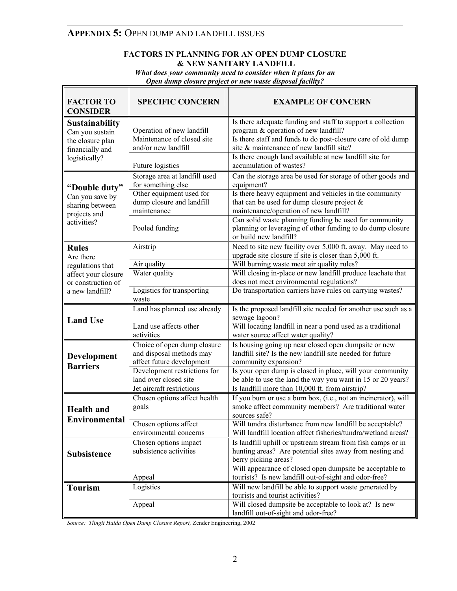# **APPENDIX 5:** OPEN DUMP AND LANDFILL ISSUES

г

#### **FACTORS IN PLANNING FOR AN OPEN DUMP CLOSURE & NEW SANITARY LANDFILL**

*What does your community need to consider when it plans for an Open dump closure project or new waste disposal facility?* 

| <b>FACTOR TO</b><br><b>CONSIDER</b>                                                | <b>SPECIFIC CONCERN</b>                                                              | <b>EXAMPLE OF CONCERN</b>                                                                                                                      |
|------------------------------------------------------------------------------------|--------------------------------------------------------------------------------------|------------------------------------------------------------------------------------------------------------------------------------------------|
| <b>Sustainability</b><br>Can you sustain                                           | Operation of new landfill                                                            | Is there adequate funding and staff to support a collection<br>program & operation of new landfill?                                            |
| the closure plan<br>financially and<br>logistically?                               | Maintenance of closed site<br>and/or new landfill                                    | Is there staff and funds to do post-closure care of old dump<br>site & maintenance of new landfill site?                                       |
|                                                                                    | Future logistics                                                                     | Is there enough land available at new landfill site for<br>accumulation of wastes?                                                             |
| "Double duty"<br>Can you save by<br>sharing between<br>projects and<br>activities? | Storage area at landfill used                                                        | Can the storage area be used for storage of other goods and                                                                                    |
|                                                                                    | for something else<br>Other equipment used for                                       | equipment?<br>Is there heavy equipment and vehicles in the community                                                                           |
|                                                                                    | dump closure and landfill<br>maintenance                                             | that can be used for dump closure project $\&$<br>maintenance/operation of new landfill?                                                       |
|                                                                                    | Pooled funding                                                                       | Can solid waste planning funding be used for community<br>planning or leveraging of other funding to do dump closure<br>or build new landfill? |
| <b>Rules</b>                                                                       | Airstrip                                                                             | Need to site new facility over 5,000 ft. away. May need to<br>upgrade site closure if site is closer than 5,000 ft.                            |
| Are there<br>regulations that                                                      | Air quality                                                                          | Will burning waste meet air quality rules?                                                                                                     |
| affect your closure                                                                | Water quality                                                                        | Will closing in-place or new landfill produce leachate that                                                                                    |
| or construction of                                                                 |                                                                                      | does not meet environmental regulations?                                                                                                       |
| a new landfill?                                                                    | Logistics for transporting<br>waste                                                  | Do transportation carriers have rules on carrying wastes?                                                                                      |
| <b>Land Use</b>                                                                    | Land has planned use already                                                         | Is the proposed landfill site needed for another use such as a<br>sewage lagoon?                                                               |
|                                                                                    | Land use affects other<br>activities                                                 | Will locating landfill in near a pond used as a traditional<br>water source affect water quality?                                              |
| <b>Development</b><br><b>Barriers</b>                                              | Choice of open dump closure<br>and disposal methods may<br>affect future development | Is housing going up near closed open dumpsite or new<br>landfill site? Is the new landfill site needed for future<br>community expansion?      |
|                                                                                    | Development restrictions for<br>land over closed site                                | Is your open dump is closed in place, will your community<br>be able to use the land the way you want in 15 or 20 years?                       |
|                                                                                    | Jet aircraft restrictions                                                            | Is landfill more than 10,000 ft. from airstrip?                                                                                                |
| <b>Health</b> and                                                                  | Chosen options affect health<br>goals                                                | If you burn or use a burn box, (i.e., not an incinerator), will<br>smoke affect community members? Are traditional water                       |
| Environmental                                                                      |                                                                                      | sources safe?                                                                                                                                  |
|                                                                                    | Chosen options affect<br>environmental concerns                                      | Will tundra disturbance from new landfill be acceptable?<br>Will landfill location affect fisheries/tundra/wetland areas?                      |
| <b>Subsistence</b>                                                                 | Chosen options impact                                                                | Is landfill uphill or upstream stream from fish camps or in                                                                                    |
|                                                                                    | subsistence activities                                                               | hunting areas? Are potential sites away from nesting and<br>berry picking areas?                                                               |
|                                                                                    | Appeal                                                                               | Will appearance of closed open dumpsite be acceptable to<br>tourists? Is new landfill out-of-sight and odor-free?                              |
| <b>Tourism</b>                                                                     | Logistics                                                                            | Will new landfill be able to support waste generated by                                                                                        |
|                                                                                    |                                                                                      | tourists and tourist activities?                                                                                                               |

*Source: Tlingit Haida Open Dump Closure Report,* Zender Engineering, 2002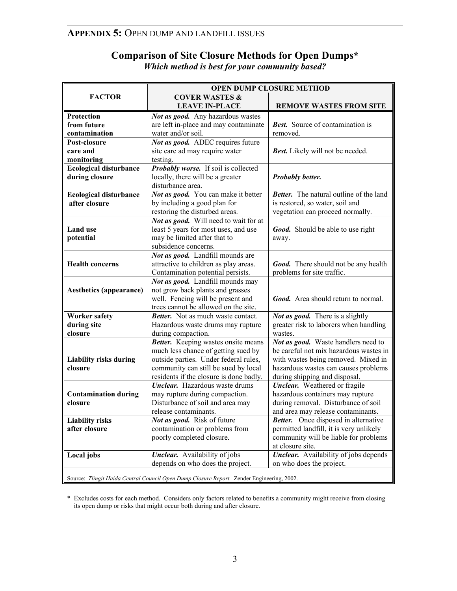# **APPENDIX 5:** OPEN DUMP AND LANDFILL ISSUES

## **Comparison of Site Closure Methods for Open Dumps\***  *Which method is best for your community based?*

|                                                                                           | <b>OPEN DUMP CLOSURE METHOD</b>                                              |                                                                               |  |
|-------------------------------------------------------------------------------------------|------------------------------------------------------------------------------|-------------------------------------------------------------------------------|--|
| <b>FACTOR</b>                                                                             | <b>COVER WASTES &amp;</b>                                                    |                                                                               |  |
|                                                                                           | <b>LEAVE IN-PLACE</b>                                                        | <b>REMOVE WASTES FROM SITE</b>                                                |  |
| Protection                                                                                | Not as good. Any hazardous wastes                                            |                                                                               |  |
| from future                                                                               | are left in-place and may contaminate                                        | <b>Best.</b> Source of contamination is                                       |  |
| contamination                                                                             | water and/or soil.                                                           | removed.                                                                      |  |
| Post-closure                                                                              | Not as good. ADEC requires future                                            |                                                                               |  |
| care and                                                                                  | site care ad may require water                                               | <b>Best.</b> Likely will not be needed.                                       |  |
| monitoring                                                                                | testing.                                                                     |                                                                               |  |
| <b>Ecological disturbance</b>                                                             | <b>Probably worse.</b> If soil is collected                                  |                                                                               |  |
| during closure                                                                            | locally, there will be a greater                                             | Probably better.                                                              |  |
|                                                                                           | disturbance area.                                                            |                                                                               |  |
| <b>Ecological disturbance</b>                                                             | Not as good. You can make it better                                          | <b>Better.</b> The natural outline of the land                                |  |
| after closure                                                                             | by including a good plan for                                                 | is restored, so water, soil and                                               |  |
|                                                                                           | restoring the disturbed areas.                                               | vegetation can proceed normally.                                              |  |
|                                                                                           | Not as good. Will need to wait for at                                        |                                                                               |  |
| <b>Land</b> use                                                                           | least 5 years for most uses, and use                                         | Good. Should be able to use right                                             |  |
| potential                                                                                 | may be limited after that to                                                 | away.                                                                         |  |
|                                                                                           | subsidence concerns.                                                         |                                                                               |  |
|                                                                                           | Not as good. Landfill mounds are                                             |                                                                               |  |
| <b>Health concerns</b>                                                                    | attractive to children as play areas.                                        | <b>Good.</b> There should not be any health                                   |  |
|                                                                                           | Contamination potential persists.                                            | problems for site traffic.                                                    |  |
|                                                                                           | Not as good. Landfill mounds may                                             |                                                                               |  |
| <b>Aesthetics (appearance)</b>                                                            | not grow back plants and grasses                                             |                                                                               |  |
|                                                                                           | well. Fencing will be present and                                            | <b>Good.</b> Area should return to normal.                                    |  |
|                                                                                           | trees cannot be allowed on the site.                                         |                                                                               |  |
| <b>Worker safety</b>                                                                      | Better. Not as much waste contact.                                           | Not as good. There is a slightly                                              |  |
| during site                                                                               | Hazardous waste drums may rupture                                            | greater risk to laborers when handling                                        |  |
| closure                                                                                   | during compaction.                                                           | wastes.                                                                       |  |
|                                                                                           | Better. Keeping wastes onsite means                                          | Not as good. Waste handlers need to<br>be careful not mix hazardous wastes in |  |
| <b>Liability risks during</b>                                                             | much less chance of getting sued by<br>outside parties. Under federal rules, | with wastes being removed. Mixed in                                           |  |
| closure                                                                                   | community can still be sued by local                                         | hazardous wastes can causes problems                                          |  |
|                                                                                           | residents if the closure is done badly.                                      | during shipping and disposal.                                                 |  |
|                                                                                           | <b>Unclear.</b> Hazardous waste drums                                        | <b>Unclear.</b> Weathered or fragile                                          |  |
| <b>Contamination during</b>                                                               | may rupture during compaction.                                               | hazardous containers may rupture                                              |  |
| closure                                                                                   | Disturbance of soil and area may                                             | during removal. Disturbance of soil                                           |  |
|                                                                                           | release contaminants.                                                        | and area may release contaminants.                                            |  |
| <b>Liability risks</b>                                                                    | Not as good. Risk of future                                                  | <b>Better.</b> Once disposed in alternative                                   |  |
| after closure                                                                             | contamination or problems from                                               | permitted landfill, it is very unlikely                                       |  |
|                                                                                           | poorly completed closure.                                                    | community will be liable for problems                                         |  |
|                                                                                           |                                                                              | at closure site.                                                              |  |
| Local jobs                                                                                | <b>Unclear.</b> Availability of jobs                                         | <b>Unclear.</b> Availability of jobs depends                                  |  |
|                                                                                           | depends on who does the project.                                             | on who does the project.                                                      |  |
|                                                                                           |                                                                              |                                                                               |  |
| Source: Tlingit Haida Central Council Open Dump Closure Report. Zender Engineering, 2002. |                                                                              |                                                                               |  |

\* Excludes costs for each method. Considers only factors related to benefits a community might receive from closing its open dump or risks that might occur both during and after closure.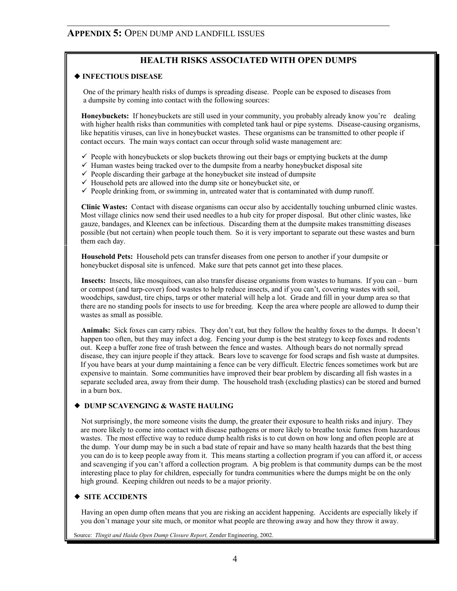## **HEALTH RISKS ASSOCIATED WITH OPEN DUMPS**

#### ¡ **INFECTIOUS DISEASE**

One of the primary health risks of dumps is spreading disease. People can be exposed to diseases from a dumpsite by coming into contact with the following sources:

**Honeybuckets:** If honeybuckets are still used in your community, you probably already know you're dealing with higher health risks than communities with completed tank haul or pipe systems. Disease-causing organisms, like hepatitis viruses, can live in honeybucket wastes. These organisms can be transmitted to other people if contact occurs. The main ways contact can occur through solid waste management are:

- $\checkmark$  People with honeybuckets or slop buckets throwing out their bags or emptying buckets at the dump
- $\checkmark$  Human wastes being tracked over to the dumpsite from a nearby honeybucket disposal site
- $\checkmark$  People discarding their garbage at the honeybucket site instead of dumpsite
- $\checkmark$  Household pets are allowed into the dump site or honeybucket site, or
- $\checkmark$  People drinking from, or swimming in, untreated water that is contaminated with dump runoff.

 **Clinic Wastes:** Contact with disease organisms can occur also by accidentally touching unburned clinic wastes. Most village clinics now send their used needles to a hub city for proper disposal. But other clinic wastes, like gauze, bandages, and Kleenex can be infectious. Discarding them at the dumpsite makes transmitting diseases possible (but not certain) when people touch them. So it is very important to separate out these wastes and burn them each day.

 **Household Pets:** Household pets can transfer diseases from one person to another if your dumpsite or honeybucket disposal site is unfenced. Make sure that pets cannot get into these places.

 **Insects:** Insects, like mosquitoes, can also transfer disease organisms from wastes to humans. If you can – burn or compost (and tarp-cover) food wastes to help reduce insects, and if you can't, covering wastes with soil, woodchips, sawdust, tire chips, tarps or other material will help a lot. Grade and fill in your dump area so that there are no standing pools for insects to use for breeding. Keep the area where people are allowed to dump their wastes as small as possible.

 **Animals:** Sick foxes can carry rabies. They don't eat, but they follow the healthy foxes to the dumps. It doesn't happen too often, but they may infect a dog. Fencing your dump is the best strategy to keep foxes and rodents out. Keep a buffer zone free of trash between the fence and wastes. Although bears do not normally spread disease, they can injure people if they attack. Bears love to scavenge for food scraps and fish waste at dumpsites. If you have bears at your dump maintaining a fence can be very difficult. Electric fences sometimes work but are expensive to maintain. Some communities have improved their bear problem by discarding all fish wastes in a separate secluded area, away from their dump. The household trash (excluding plastics) can be stored and burned in a burn box.

#### ¡ **DUMP SCAVENGING & WASTE HAULING**

Not surprisingly, the more someone visits the dump, the greater their exposure to health risks and injury. They are more likely to come into contact with disease pathogens or more likely to breathe toxic fumes from hazardous wastes. The most effective way to reduce dump health risks is to cut down on how long and often people are at the dump. Your dump may be in such a bad state of repair and have so many health hazards that the best thing you can do is to keep people away from it. This means starting a collection program if you can afford it, or access and scavenging if you can't afford a collection program. A big problem is that community dumps can be the most interesting place to play for children, especially for tundra communities where the dumps might be on the only high ground. Keeping children out needs to be a major priority.

#### ¡ **SITE ACCIDENTS**

Having an open dump often means that you are risking an accident happening. Accidents are especially likely if you don't manage your site much, or monitor what people are throwing away and how they throw it away.

Source: *Tlingit and Haida Open Dump Closure Report,* Zender Engineering, 2002.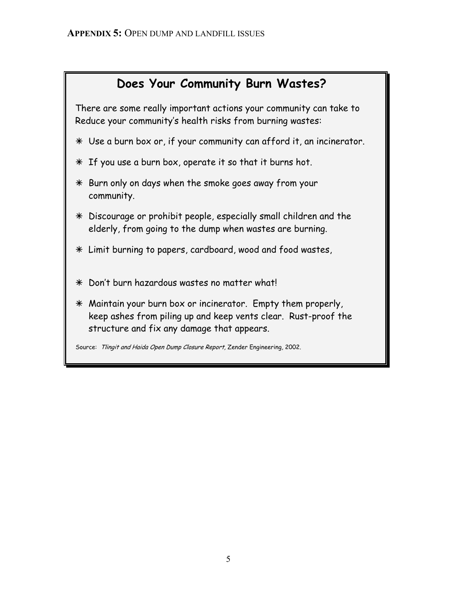# **Does Your Community Burn Wastes?**

 There are some really important actions your community can take to Reduce your community's health risks from burning wastes:

- Ã Use a burn box or, if your community can afford it, an incinerator.
- Ã If you use a burn box, operate it so that it burns hot.
- $*$  Burn only on days when the smoke goes away from your community.
- Ã Discourage or prohibit people, especially small children and the elderly, from going to the dump when wastes are burning.
- Ã Limit burning to papers, cardboard, wood and food wastes,
- $*$  Don't burn hazardous wastes no matter what!
- $*$  Maintain your burn box or incinerator. Empty them properly, keep ashes from piling up and keep vents clear. Rust-proof the structure and fix any damage that appears.

Source: Tlingit and Haida Open Dump Closure Report, Zender Engineering, 2002.